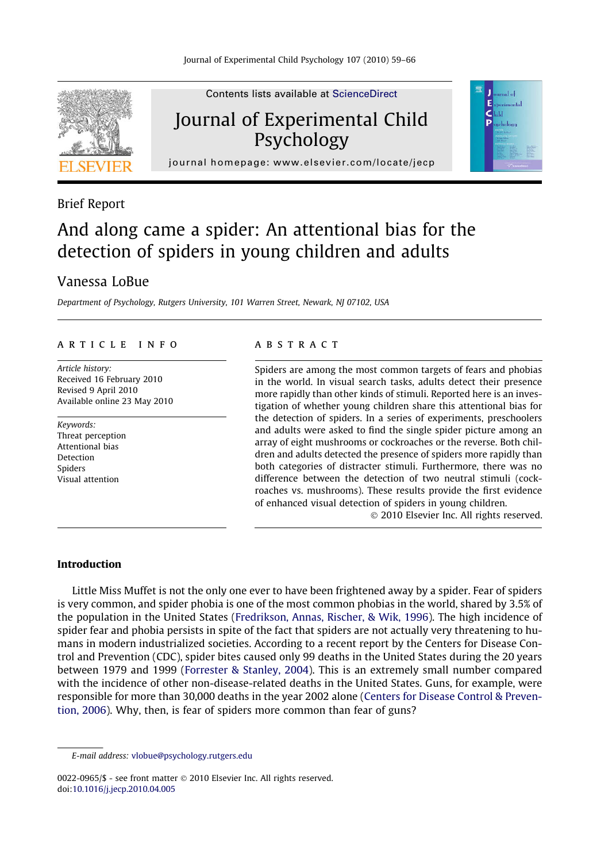

Contents lists available at [ScienceDirect](http://www.sciencedirect.com/science/journal/00220965)

# Journal of Experimental Child Psychology



journal homepage: [www.elsevier.com/locate/jecp](http://www.elsevier.com/locate/jecp)

# Brief Report

# And along came a spider: An attentional bias for the detection of spiders in young children and adults

# Vanessa LoBue

Department of Psychology, Rutgers University, 101 Warren Street, Newark, NJ 07102, USA

# article info

Article history: Received 16 February 2010 Revised 9 April 2010 Available online 23 May 2010

Keywords: Threat perception Attentional bias Detection Spiders Visual attention

# **ABSTRACT**

Spiders are among the most common targets of fears and phobias in the world. In visual search tasks, adults detect their presence more rapidly than other kinds of stimuli. Reported here is an investigation of whether young children share this attentional bias for the detection of spiders. In a series of experiments, preschoolers and adults were asked to find the single spider picture among an array of eight mushrooms or cockroaches or the reverse. Both children and adults detected the presence of spiders more rapidly than both categories of distracter stimuli. Furthermore, there was no difference between the detection of two neutral stimuli (cockroaches vs. mushrooms). These results provide the first evidence of enhanced visual detection of spiders in young children.

- 2010 Elsevier Inc. All rights reserved.

# Introduction

Little Miss Muffet is not the only one ever to have been frightened away by a spider. Fear of spiders is very common, and spider phobia is one of the most common phobias in the world, shared by 3.5% of the population in the United States ([Fredrikson, Annas, Rischer, & Wik, 1996](#page-6-0)). The high incidence of spider fear and phobia persists in spite of the fact that spiders are not actually very threatening to humans in modern industrialized societies. According to a recent report by the Centers for Disease Control and Prevention (CDC), spider bites caused only 99 deaths in the United States during the 20 years between 1979 and 1999 ([Forrester & Stanley, 2004\)](#page-6-0). This is an extremely small number compared with the incidence of other non-disease-related deaths in the United States. Guns, for example, were responsible for more than 30,000 deaths in the year 2002 alone [\(Centers for Disease Control & Preven](#page-6-0)[tion, 2006\)](#page-6-0). Why, then, is fear of spiders more common than fear of guns?

E-mail address: [vlobue@psychology.rutgers.edu](mailto:vlobue@psychology.rutgers.edu)

<sup>0022-0965/\$ -</sup> see front matter @ 2010 Elsevier Inc. All rights reserved. doi[:10.1016/j.jecp.2010.04.005](http://dx.doi.org/10.1016/j.jecp.2010.04.005)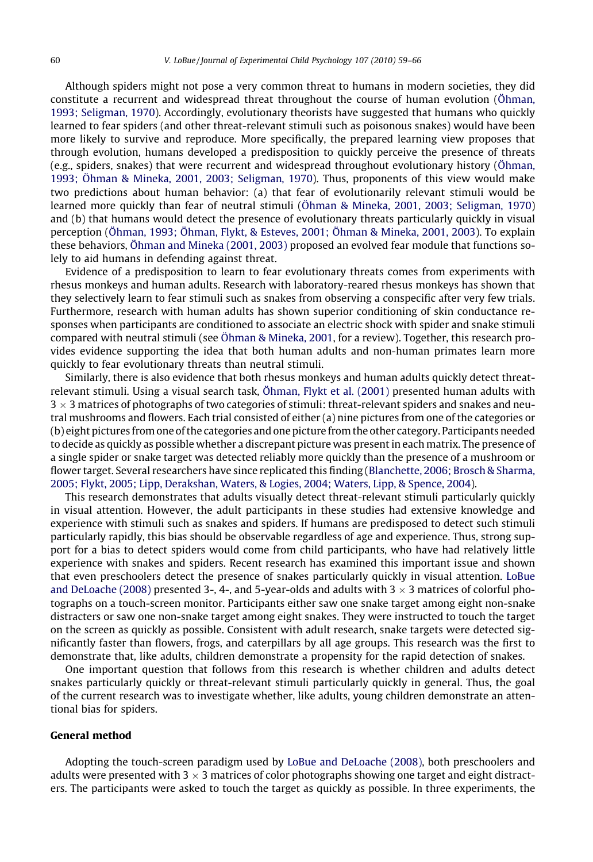Although spiders might not pose a very common threat to humans in modern societies, they did constitute a recurrent and widespread threat throughout the course of human evolution ([Öhman,](#page-7-0) [1993; Seligman, 1970](#page-7-0)). Accordingly, evolutionary theorists have suggested that humans who quickly learned to fear spiders (and other threat-relevant stimuli such as poisonous snakes) would have been more likely to survive and reproduce. More specifically, the prepared learning view proposes that through evolution, humans developed a predisposition to quickly perceive the presence of threats (e.g., spiders, snakes) that were recurrent and widespread throughout evolutionary history ([Öhman,](#page-7-0) [1993; Öhman & Mineka, 2001, 2003; Seligman, 1970\)](#page-7-0). Thus, proponents of this view would make two predictions about human behavior: (a) that fear of evolutionarily relevant stimuli would be learned more quickly than fear of neutral stimuli [\(Öhman & Mineka, 2001, 2003; Seligman, 1970](#page-7-0)) and (b) that humans would detect the presence of evolutionary threats particularly quickly in visual perception ([Öhman, 1993; Öhman, Flykt, & Esteves, 2001; Öhman & Mineka, 2001, 2003](#page-7-0)). To explain these behaviors, [Öhman and Mineka \(2001, 2003\)](#page-7-0) proposed an evolved fear module that functions solely to aid humans in defending against threat.

Evidence of a predisposition to learn to fear evolutionary threats comes from experiments with rhesus monkeys and human adults. Research with laboratory-reared rhesus monkeys has shown that they selectively learn to fear stimuli such as snakes from observing a conspecific after very few trials. Furthermore, research with human adults has shown superior conditioning of skin conductance responses when participants are conditioned to associate an electric shock with spider and snake stimuli compared with neutral stimuli (see [Öhman & Mineka, 2001,](#page-7-0) for a review). Together, this research provides evidence supporting the idea that both human adults and non-human primates learn more quickly to fear evolutionary threats than neutral stimuli.

Similarly, there is also evidence that both rhesus monkeys and human adults quickly detect threatrelevant stimuli. Using a visual search task, [Öhman, Flykt et al. \(2001\)](#page-7-0) presented human adults with 3  $\times$  3 matrices of photographs of two categories of stimuli: threat-relevant spiders and snakes and neutral mushrooms and flowers. Each trial consisted of either (a) nine pictures from one of the categories or (b) eight pictures from one of the categories and one picture from the other category. Participants needed to decide as quickly as possible whether a discrepant picture was present in each matrix. The presence of a single spider or snake target was detected reliably more quickly than the presence of a mushroom or flower target. Several researchers have since replicated this finding [\(Blanchette, 2006; Brosch & Sharma,](#page-6-0) [2005; Flykt, 2005; Lipp, Derakshan, Waters, & Logies, 2004; Waters, Lipp, & Spence, 2004\)](#page-6-0).

This research demonstrates that adults visually detect threat-relevant stimuli particularly quickly in visual attention. However, the adult participants in these studies had extensive knowledge and experience with stimuli such as snakes and spiders. If humans are predisposed to detect such stimuli particularly rapidly, this bias should be observable regardless of age and experience. Thus, strong support for a bias to detect spiders would come from child participants, who have had relatively little experience with snakes and spiders. Recent research has examined this important issue and shown that even preschoolers detect the presence of snakes particularly quickly in visual attention. [LoBue](#page-7-0) [and DeLoache \(2008\)](#page-7-0) presented 3-, 4-, and 5-year-olds and adults with 3  $\times$  3 matrices of colorful photographs on a touch-screen monitor. Participants either saw one snake target among eight non-snake distracters or saw one non-snake target among eight snakes. They were instructed to touch the target on the screen as quickly as possible. Consistent with adult research, snake targets were detected significantly faster than flowers, frogs, and caterpillars by all age groups. This research was the first to demonstrate that, like adults, children demonstrate a propensity for the rapid detection of snakes.

One important question that follows from this research is whether children and adults detect snakes particularly quickly or threat-relevant stimuli particularly quickly in general. Thus, the goal of the current research was to investigate whether, like adults, young children demonstrate an attentional bias for spiders.

#### General method

Adopting the touch-screen paradigm used by [LoBue and DeLoache \(2008\)](#page-7-0), both preschoolers and adults were presented with 3  $\times$  3 matrices of color photographs showing one target and eight distracters. The participants were asked to touch the target as quickly as possible. In three experiments, the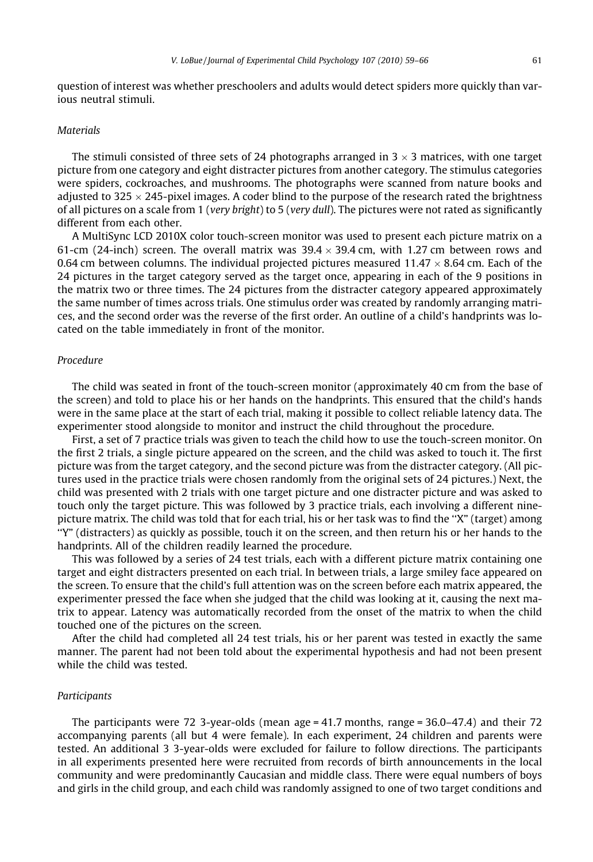question of interest was whether preschoolers and adults would detect spiders more quickly than various neutral stimuli.

### **Materials**

The stimuli consisted of three sets of 24 photographs arranged in 3  $\times$  3 matrices, with one target picture from one category and eight distracter pictures from another category. The stimulus categories were spiders, cockroaches, and mushrooms. The photographs were scanned from nature books and adjusted to 325  $\times$  245-pixel images. A coder blind to the purpose of the research rated the brightness of all pictures on a scale from  $1$  (very bright) to  $5$  (very dull). The pictures were not rated as significantly different from each other.

A MultiSync LCD 2010X color touch-screen monitor was used to present each picture matrix on a 61-cm (24-inch) screen. The overall matrix was  $39.4 \times 39.4$  cm, with 1.27 cm between rows and 0.64 cm between columns. The individual projected pictures measured  $11.47 \times 8.64$  cm. Each of the 24 pictures in the target category served as the target once, appearing in each of the 9 positions in the matrix two or three times. The 24 pictures from the distracter category appeared approximately the same number of times across trials. One stimulus order was created by randomly arranging matrices, and the second order was the reverse of the first order. An outline of a child's handprints was located on the table immediately in front of the monitor.

# Procedure

The child was seated in front of the touch-screen monitor (approximately 40 cm from the base of the screen) and told to place his or her hands on the handprints. This ensured that the child's hands were in the same place at the start of each trial, making it possible to collect reliable latency data. The experimenter stood alongside to monitor and instruct the child throughout the procedure.

First, a set of 7 practice trials was given to teach the child how to use the touch-screen monitor. On the first 2 trials, a single picture appeared on the screen, and the child was asked to touch it. The first picture was from the target category, and the second picture was from the distracter category. (All pictures used in the practice trials were chosen randomly from the original sets of 24 pictures.) Next, the child was presented with 2 trials with one target picture and one distracter picture and was asked to touch only the target picture. This was followed by 3 practice trials, each involving a different ninepicture matrix. The child was told that for each trial, his or her task was to find the ''X" (target) among ''Y" (distracters) as quickly as possible, touch it on the screen, and then return his or her hands to the handprints. All of the children readily learned the procedure.

This was followed by a series of 24 test trials, each with a different picture matrix containing one target and eight distracters presented on each trial. In between trials, a large smiley face appeared on the screen. To ensure that the child's full attention was on the screen before each matrix appeared, the experimenter pressed the face when she judged that the child was looking at it, causing the next matrix to appear. Latency was automatically recorded from the onset of the matrix to when the child touched one of the pictures on the screen.

After the child had completed all 24 test trials, his or her parent was tested in exactly the same manner. The parent had not been told about the experimental hypothesis and had not been present while the child was tested.

## **Participants**

The participants were 72 3-year-olds (mean age = 41.7 months, range =  $36.0-47.4$ ) and their 72 accompanying parents (all but 4 were female). In each experiment, 24 children and parents were tested. An additional 3 3-year-olds were excluded for failure to follow directions. The participants in all experiments presented here were recruited from records of birth announcements in the local community and were predominantly Caucasian and middle class. There were equal numbers of boys and girls in the child group, and each child was randomly assigned to one of two target conditions and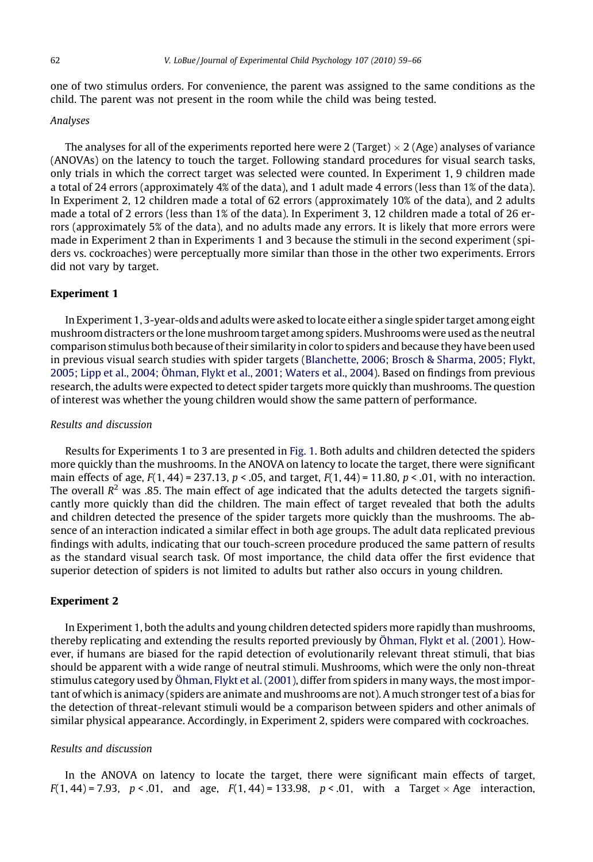one of two stimulus orders. For convenience, the parent was assigned to the same conditions as the child. The parent was not present in the room while the child was being tested.

# Analyses

The analyses for all of the experiments reported here were 2 (Target)  $\times$  2 (Age) analyses of variance (ANOVAs) on the latency to touch the target. Following standard procedures for visual search tasks, only trials in which the correct target was selected were counted. In Experiment 1, 9 children made a total of 24 errors (approximately 4% of the data), and 1 adult made 4 errors (less than 1% of the data). In Experiment 2, 12 children made a total of 62 errors (approximately 10% of the data), and 2 adults made a total of 2 errors (less than 1% of the data). In Experiment 3, 12 children made a total of 26 errors (approximately 5% of the data), and no adults made any errors. It is likely that more errors were made in Experiment 2 than in Experiments 1 and 3 because the stimuli in the second experiment (spiders vs. cockroaches) were perceptually more similar than those in the other two experiments. Errors did not vary by target.

### Experiment 1

In Experiment 1, 3-year-olds and adults were asked to locate either a single spider target among eight mushroom distracters or the lone mushroom target among spiders. Mushrooms were used as the neutral comparison stimulus both because of their similarity in color to spiders and because they have been used in previous visual search studies with spider targets [\(Blanchette, 2006; Brosch & Sharma, 2005; Flykt,](#page-6-0) [2005; Lipp et al., 2004; Öhman, Flykt et al., 2001; Waters et al., 2004\)](#page-6-0). Based on findings from previous research, the adults were expected to detect spider targets more quickly than mushrooms. The question of interest was whether the young children would show the same pattern of performance.

# Results and discussion

Results for Experiments 1 to 3 are presented in [Fig. 1.](#page-4-0) Both adults and children detected the spiders more quickly than the mushrooms. In the ANOVA on latency to locate the target, there were significant main effects of age,  $F(1, 44) = 237.13$ ,  $p < .05$ , and target,  $F(1, 44) = 11.80$ ,  $p < .01$ , with no interaction. The overall  $R^2$  was .85. The main effect of age indicated that the adults detected the targets significantly more quickly than did the children. The main effect of target revealed that both the adults and children detected the presence of the spider targets more quickly than the mushrooms. The absence of an interaction indicated a similar effect in both age groups. The adult data replicated previous findings with adults, indicating that our touch-screen procedure produced the same pattern of results as the standard visual search task. Of most importance, the child data offer the first evidence that superior detection of spiders is not limited to adults but rather also occurs in young children.

### Experiment 2

In Experiment 1, both the adults and young children detected spiders more rapidly than mushrooms, thereby replicating and extending the results reported previously by [Öhman, Flykt et al. \(2001\)](#page-7-0). However, if humans are biased for the rapid detection of evolutionarily relevant threat stimuli, that bias should be apparent with a wide range of neutral stimuli. Mushrooms, which were the only non-threat stimulus category used by [Öhman, Flykt et al. \(2001\),](#page-7-0) differ from spiders in many ways, the most important of which is animacy (spiders are animate and mushrooms are not). A much stronger test of a bias for the detection of threat-relevant stimuli would be a comparison between spiders and other animals of similar physical appearance. Accordingly, in Experiment 2, spiders were compared with cockroaches.

# Results and discussion

In the ANOVA on latency to locate the target, there were significant main effects of target,  $F(1, 44)$  = 7.93, p < .01, and age,  $F(1, 44)$  = 133.98, p < .01, with a Target  $\times$  Age interaction,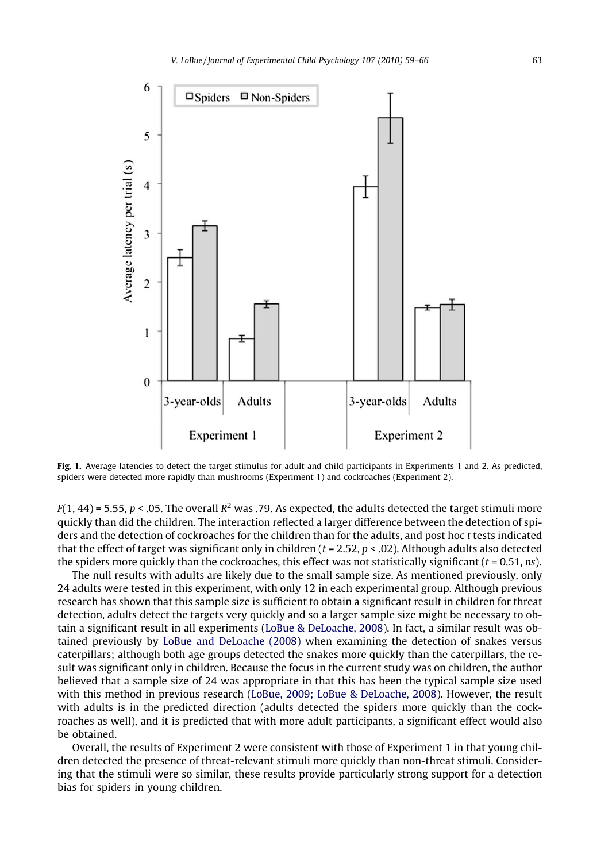<span id="page-4-0"></span>

Fig. 1. Average latencies to detect the target stimulus for adult and child participants in Experiments 1 and 2. As predicted, spiders were detected more rapidly than mushrooms (Experiment 1) and cockroaches (Experiment 2).

 $F(1, 44) = 5.55$ ,  $p < .05$ . The overall  $R<sup>2</sup>$  was .79. As expected, the adults detected the target stimuli more quickly than did the children. The interaction reflected a larger difference between the detection of spiders and the detection of cockroaches for the children than for the adults, and post hoc t tests indicated that the effect of target was significant only in children  $(t = 2.52, p < .02)$ . Although adults also detected the spiders more quickly than the cockroaches, this effect was not statistically significant  $(t = 0.51, ns)$ .

The null results with adults are likely due to the small sample size. As mentioned previously, only 24 adults were tested in this experiment, with only 12 in each experimental group. Although previous research has shown that this sample size is sufficient to obtain a significant result in children for threat detection, adults detect the targets very quickly and so a larger sample size might be necessary to obtain a significant result in all experiments ([LoBue & DeLoache, 2008](#page-7-0)). In fact, a similar result was obtained previously by [LoBue and DeLoache \(2008\)](#page-7-0) when examining the detection of snakes versus caterpillars; although both age groups detected the snakes more quickly than the caterpillars, the result was significant only in children. Because the focus in the current study was on children, the author believed that a sample size of 24 was appropriate in that this has been the typical sample size used with this method in previous research [\(LoBue, 2009; LoBue & DeLoache, 2008\)](#page-7-0). However, the result with adults is in the predicted direction (adults detected the spiders more quickly than the cockroaches as well), and it is predicted that with more adult participants, a significant effect would also be obtained.

Overall, the results of Experiment 2 were consistent with those of Experiment 1 in that young children detected the presence of threat-relevant stimuli more quickly than non-threat stimuli. Considering that the stimuli were so similar, these results provide particularly strong support for a detection bias for spiders in young children.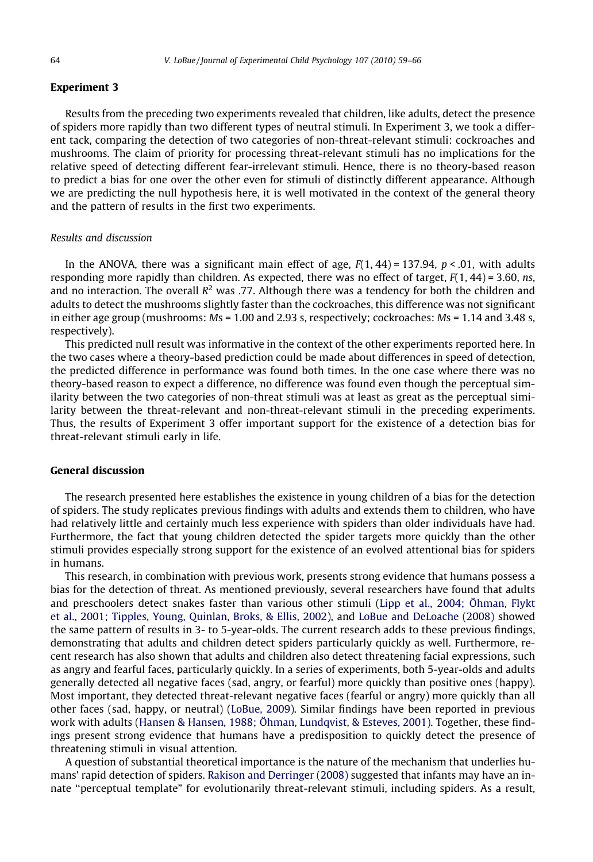## Experiment 3

Results from the preceding two experiments revealed that children, like adults, detect the presence of spiders more rapidly than two different types of neutral stimuli. In Experiment 3, we took a different tack, comparing the detection of two categories of non-threat-relevant stimuli: cockroaches and mushrooms. The claim of priority for processing threat-relevant stimuli has no implications for the relative speed of detecting different fear-irrelevant stimuli. Hence, there is no theory-based reason to predict a bias for one over the other even for stimuli of distinctly different appearance. Although we are predicting the null hypothesis here, it is well motivated in the context of the general theory and the pattern of results in the first two experiments.

#### Results and discussion

In the ANOVA, there was a significant main effect of age,  $F(1, 44) = 137.94$ ,  $p < .01$ , with adults responding more rapidly than children. As expected, there was no effect of target,  $F(1, 44) = 3.60$ , ns, and no interaction. The overall  $R^2$  was .77. Although there was a tendency for both the children and adults to detect the mushrooms slightly faster than the cockroaches, this difference was not significant in either age group (mushrooms:  $Ms = 1.00$  and 2.93 s, respectively; cockroaches:  $Ms = 1.14$  and 3.48 s, respectively).

This predicted null result was informative in the context of the other experiments reported here. In the two cases where a theory-based prediction could be made about differences in speed of detection, the predicted difference in performance was found both times. In the one case where there was no theory-based reason to expect a difference, no difference was found even though the perceptual similarity between the two categories of non-threat stimuli was at least as great as the perceptual similarity between the threat-relevant and non-threat-relevant stimuli in the preceding experiments. Thus, the results of Experiment 3 offer important support for the existence of a detection bias for threat-relevant stimuli early in life.

### General discussion

The research presented here establishes the existence in young children of a bias for the detection of spiders. The study replicates previous findings with adults and extends them to children, who have had relatively little and certainly much less experience with spiders than older individuals have had. Furthermore, the fact that young children detected the spider targets more quickly than the other stimuli provides especially strong support for the existence of an evolved attentional bias for spiders in humans.

This research, in combination with previous work, presents strong evidence that humans possess a bias for the detection of threat. As mentioned previously, several researchers have found that adults and preschoolers detect snakes faster than various other stimuli ([Lipp et al., 2004; Öhman, Flykt](#page-7-0) [et al., 2001; Tipples, Young, Quinlan, Broks, & Ellis, 2002](#page-7-0)), and [LoBue and DeLoache \(2008\)](#page-7-0) showed the same pattern of results in 3- to 5-year-olds. The current research adds to these previous findings, demonstrating that adults and children detect spiders particularly quickly as well. Furthermore, recent research has also shown that adults and children also detect threatening facial expressions, such as angry and fearful faces, particularly quickly. In a series of experiments, both 5-year-olds and adults generally detected all negative faces (sad, angry, or fearful) more quickly than positive ones (happy). Most important, they detected threat-relevant negative faces (fearful or angry) more quickly than all other faces (sad, happy, or neutral) [\(LoBue, 2009](#page-7-0)). Similar findings have been reported in previous work with adults ([Hansen & Hansen, 1988; Öhman, Lundqvist, & Esteves, 2001\)](#page-6-0). Together, these findings present strong evidence that humans have a predisposition to quickly detect the presence of threatening stimuli in visual attention.

A question of substantial theoretical importance is the nature of the mechanism that underlies humans' rapid detection of spiders. [Rakison and Derringer \(2008\)](#page-7-0) suggested that infants may have an innate ''perceptual template" for evolutionarily threat-relevant stimuli, including spiders. As a result,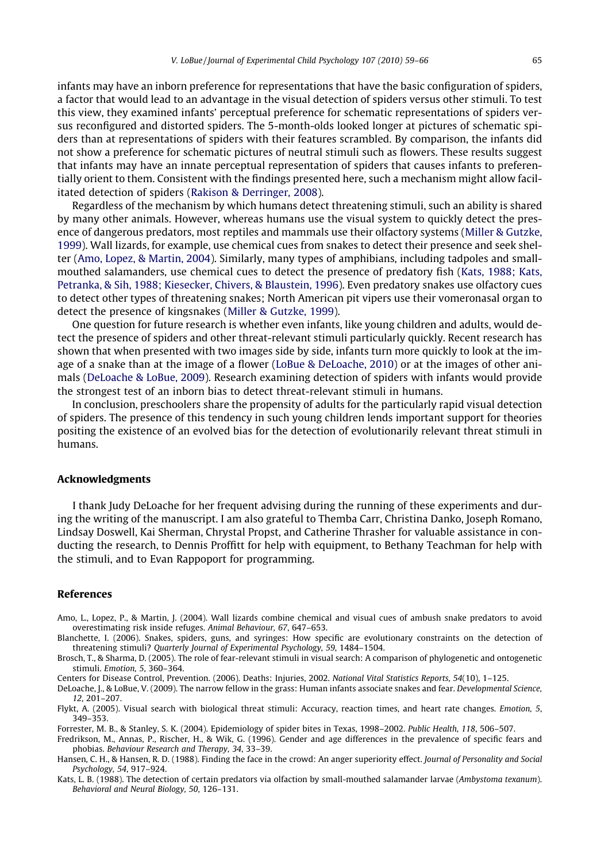<span id="page-6-0"></span>infants may have an inborn preference for representations that have the basic configuration of spiders, a factor that would lead to an advantage in the visual detection of spiders versus other stimuli. To test this view, they examined infants' perceptual preference for schematic representations of spiders versus reconfigured and distorted spiders. The 5-month-olds looked longer at pictures of schematic spiders than at representations of spiders with their features scrambled. By comparison, the infants did not show a preference for schematic pictures of neutral stimuli such as flowers. These results suggest that infants may have an innate perceptual representation of spiders that causes infants to preferentially orient to them. Consistent with the findings presented here, such a mechanism might allow facilitated detection of spiders ([Rakison & Derringer, 2008\)](#page-7-0).

Regardless of the mechanism by which humans detect threatening stimuli, such an ability is shared by many other animals. However, whereas humans use the visual system to quickly detect the presence of dangerous predators, most reptiles and mammals use their olfactory systems [\(Miller & Gutzke,](#page-7-0) [1999](#page-7-0)). Wall lizards, for example, use chemical cues from snakes to detect their presence and seek shelter (Amo, Lopez, & Martin, 2004). Similarly, many types of amphibians, including tadpoles and smallmouthed salamanders, use chemical cues to detect the presence of predatory fish (Kats, 1988; Kats, Petranka, & Sih, 1988; Kiesecker, Chivers, & Blaustein, 1996). Even predatory snakes use olfactory cues to detect other types of threatening snakes; North American pit vipers use their vomeronasal organ to detect the presence of kingsnakes ([Miller & Gutzke, 1999\)](#page-7-0).

One question for future research is whether even infants, like young children and adults, would detect the presence of spiders and other threat-relevant stimuli particularly quickly. Recent research has shown that when presented with two images side by side, infants turn more quickly to look at the image of a snake than at the image of a flower ([LoBue & DeLoache, 2010\)](#page-7-0) or at the images of other animals (DeLoache & LoBue, 2009). Research examining detection of spiders with infants would provide the strongest test of an inborn bias to detect threat-relevant stimuli in humans.

In conclusion, preschoolers share the propensity of adults for the particularly rapid visual detection of spiders. The presence of this tendency in such young children lends important support for theories positing the existence of an evolved bias for the detection of evolutionarily relevant threat stimuli in humans.

#### Acknowledgments

I thank Judy DeLoache for her frequent advising during the running of these experiments and during the writing of the manuscript. I am also grateful to Themba Carr, Christina Danko, Joseph Romano, Lindsay Doswell, Kai Sherman, Chrystal Propst, and Catherine Thrasher for valuable assistance in conducting the research, to Dennis Proffitt for help with equipment, to Bethany Teachman for help with the stimuli, and to Evan Rappoport for programming.

### References

- Amo, L., Lopez, P., & Martin, J. (2004). Wall lizards combine chemical and visual cues of ambush snake predators to avoid overestimating risk inside refuges. Animal Behaviour, 67, 647–653.
- Blanchette, I. (2006). Snakes, spiders, guns, and syringes: How specific are evolutionary constraints on the detection of threatening stimuli? Quarterly Journal of Experimental Psychology, 59, 1484–1504.
- Brosch, T., & Sharma, D. (2005). The role of fear-relevant stimuli in visual search: A comparison of phylogenetic and ontogenetic stimuli. Emotion, 5, 360–364.

Centers for Disease Control, Prevention. (2006). Deaths: Injuries, 2002. National Vital Statistics Reports, 54(10), 1–125.

- DeLoache, J., & LoBue, V. (2009). The narrow fellow in the grass: Human infants associate snakes and fear. Developmental Science, 12, 201–207.
- Flykt, A. (2005). Visual search with biological threat stimuli: Accuracy, reaction times, and heart rate changes. Emotion, 5, 349–353.
- Forrester, M. B., & Stanley, S. K. (2004). Epidemiology of spider bites in Texas, 1998–2002. Public Health, 118, 506–507.

Fredrikson, M., Annas, P., Rischer, H., & Wik, G. (1996). Gender and age differences in the prevalence of specific fears and phobias. Behaviour Research and Therapy, 34, 33–39.

Hansen, C. H., & Hansen, R. D. (1988). Finding the face in the crowd: An anger superiority effect. Journal of Personality and Social Psychology, 54, 917–924.

Kats, L. B. (1988). The detection of certain predators via olfaction by small-mouthed salamander larvae (Ambystoma texanum). Behavioral and Neural Biology, 50, 126–131.